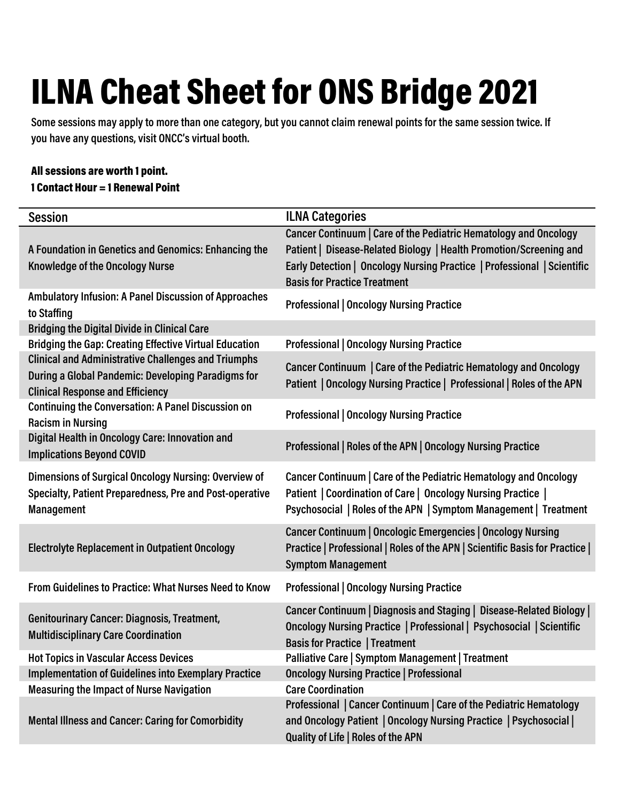## ILNA Cheat Sheet for ONS Bridge 2021

**Some sessions may apply to more than one category, but you cannot claim renewal points for the same session twice. If you have any questions, visit ONCC's virtual booth.**

## All sessions are worth 1 point. 1 Contact Hour = 1 Renewal Point

| <b>Session</b>                                                                                                                                              | <b>ILNA Categories</b>                                                                                                                                                                                                                                   |
|-------------------------------------------------------------------------------------------------------------------------------------------------------------|----------------------------------------------------------------------------------------------------------------------------------------------------------------------------------------------------------------------------------------------------------|
| A Foundation in Genetics and Genomics: Enhancing the<br><b>Knowledge of the Oncology Nurse</b>                                                              | Cancer Continuum   Care of the Pediatric Hematology and Oncology<br>Patient   Disease-Related Biology   Health Promotion/Screening and<br>Early Detection   Oncology Nursing Practice   Professional   Scientific<br><b>Basis for Practice Treatment</b> |
| <b>Ambulatory Infusion: A Panel Discussion of Approaches</b><br>to Staffing                                                                                 | <b>Professional   Oncology Nursing Practice</b>                                                                                                                                                                                                          |
| <b>Bridging the Digital Divide in Clinical Care</b>                                                                                                         |                                                                                                                                                                                                                                                          |
| <b>Bridging the Gap: Creating Effective Virtual Education</b>                                                                                               | <b>Professional   Oncology Nursing Practice</b>                                                                                                                                                                                                          |
| <b>Clinical and Administrative Challenges and Triumphs</b><br>During a Global Pandemic: Developing Paradigms for<br><b>Clinical Response and Efficiency</b> | Cancer Continuum   Care of the Pediatric Hematology and Oncology<br>Patient   Oncology Nursing Practice   Professional   Roles of the APN                                                                                                                |
| <b>Continuing the Conversation: A Panel Discussion on</b><br><b>Racism in Nursing</b>                                                                       | <b>Professional   Oncology Nursing Practice</b>                                                                                                                                                                                                          |
| Digital Health in Oncology Care: Innovation and<br><b>Implications Beyond COVID</b>                                                                         | Professional   Roles of the APN   Oncology Nursing Practice                                                                                                                                                                                              |
| Dimensions of Surgical Oncology Nursing: Overview of<br>Specialty, Patient Preparedness, Pre and Post-operative<br><b>Management</b>                        | Cancer Continuum   Care of the Pediatric Hematology and Oncology<br>Patient   Coordination of Care   Oncology Nursing Practice  <br>Psychosocial   Roles of the APN   Symptom Management   Treatment                                                     |
| <b>Electrolyte Replacement in Outpatient Oncology</b>                                                                                                       | Cancer Continuum   Oncologic Emergencies   Oncology Nursing<br>Practice   Professional   Roles of the APN   Scientific Basis for Practice  <br><b>Symptom Management</b>                                                                                 |
| From Guidelines to Practice: What Nurses Need to Know                                                                                                       | <b>Professional   Oncology Nursing Practice</b>                                                                                                                                                                                                          |
| <b>Genitourinary Cancer: Diagnosis, Treatment,</b><br><b>Multidisciplinary Care Coordination</b>                                                            | Cancer Continuum   Diagnosis and Staging   Disease-Related Biology  <br>Oncology Nursing Practice   Professional   Psychosocial   Scientific<br><b>Basis for Practice   Treatment</b>                                                                    |
| <b>Hot Topics in Vascular Access Devices</b>                                                                                                                | Palliative Care   Symptom Management   Treatment                                                                                                                                                                                                         |
| <b>Implementation of Guidelines into Exemplary Practice</b>                                                                                                 | <b>Oncology Nursing Practice   Professional</b>                                                                                                                                                                                                          |
| <b>Measuring the Impact of Nurse Navigation</b>                                                                                                             | <b>Care Coordination</b>                                                                                                                                                                                                                                 |
| <b>Mental Illness and Cancer: Caring for Comorbidity</b>                                                                                                    | Professional   Cancer Continuum   Care of the Pediatric Hematology<br>and Oncology Patient   Oncology Nursing Practice   Psychosocial  <br>Quality of Life   Roles of the APN                                                                            |